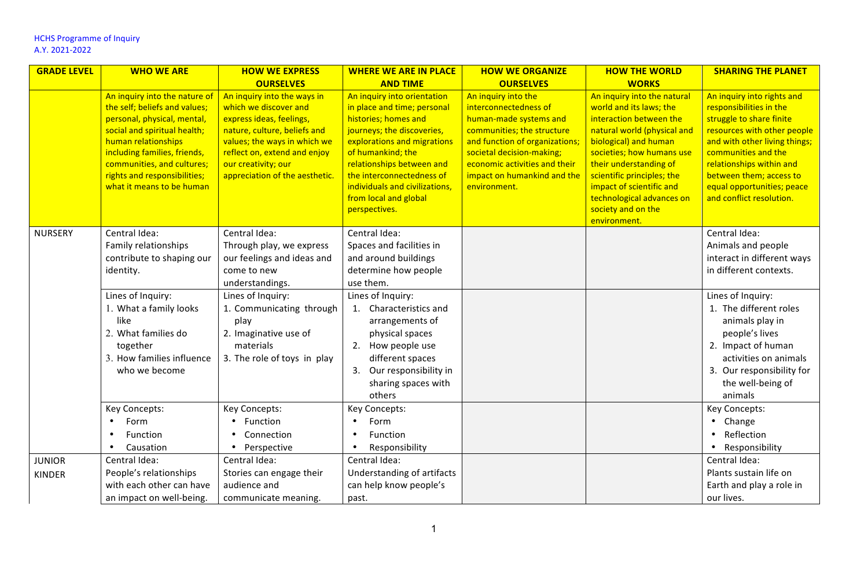| <b>GRADE LEVEL</b> | <b>WHO WE ARE</b>                                                                                                                                                                                                                                                               | <b>HOW WE EXPRESS</b>                                                                                                                                                                                                                     | <b>WHERE WE ARE IN PLACE</b>                                                                                                                                                                                                                                                                               | <b>HOW WE ORGANIZE</b>                                                                                                                                                                                                                              | <b>HOW THE WORLD</b>                                                                                                                                                                                                                                                                                                          | <b>SHARING THE PLANET</b>                                                                                                                                                                                                                                                                 |
|--------------------|---------------------------------------------------------------------------------------------------------------------------------------------------------------------------------------------------------------------------------------------------------------------------------|-------------------------------------------------------------------------------------------------------------------------------------------------------------------------------------------------------------------------------------------|------------------------------------------------------------------------------------------------------------------------------------------------------------------------------------------------------------------------------------------------------------------------------------------------------------|-----------------------------------------------------------------------------------------------------------------------------------------------------------------------------------------------------------------------------------------------------|-------------------------------------------------------------------------------------------------------------------------------------------------------------------------------------------------------------------------------------------------------------------------------------------------------------------------------|-------------------------------------------------------------------------------------------------------------------------------------------------------------------------------------------------------------------------------------------------------------------------------------------|
|                    |                                                                                                                                                                                                                                                                                 | <b>OURSELVES</b>                                                                                                                                                                                                                          | <b>AND TIME</b>                                                                                                                                                                                                                                                                                            | <b>OURSELVES</b>                                                                                                                                                                                                                                    | <b>WORKS</b>                                                                                                                                                                                                                                                                                                                  |                                                                                                                                                                                                                                                                                           |
|                    | An inquiry into the nature of<br>the self; beliefs and values;<br>personal, physical, mental,<br>social and spiritual health;<br>human relationships<br>including families, friends,<br>communities, and cultures;<br>rights and responsibilities;<br>what it means to be human | An inquiry into the ways in<br>which we discover and<br>express ideas, feelings,<br>nature, culture, beliefs and<br>values; the ways in which we<br>reflect on, extend and enjoy<br>our creativity; our<br>appreciation of the aesthetic. | An inquiry into orientation<br>in place and time; personal<br>histories; homes and<br>journeys; the discoveries,<br>explorations and migrations<br>of humankind; the<br>relationships between and<br>the interconnectedness of<br>individuals and civilizations,<br>from local and global<br>perspectives. | An inquiry into the<br>interconnectedness of<br>human-made systems and<br>communities; the structure<br>and function of organizations;<br>societal decision-making;<br>economic activities and their<br>impact on humankind and the<br>environment. | An inquiry into the natural<br>world and its laws; the<br>interaction between the<br>natural world (physical and<br>biological) and human<br>societies; how humans use<br>their understanding of<br>scientific principles; the<br>impact of scientific and<br>technological advances on<br>society and on the<br>environment. | An inquiry into rights and<br>responsibilities in the<br>struggle to share finite<br>resources with other people<br>and with other living things;<br>communities and the<br>relationships within and<br>between them; access to<br>equal opportunities; peace<br>and conflict resolution. |
| <b>NURSERY</b>     | Central Idea:<br>Family relationships<br>contribute to shaping our<br>identity.<br>Lines of Inquiry:<br>1. What a family looks<br>like                                                                                                                                          | Central Idea:<br>Through play, we express<br>our feelings and ideas and<br>come to new<br>understandings.<br>Lines of Inquiry:<br>1. Communicating through<br>play                                                                        | Central Idea:<br>Spaces and facilities in<br>and around buildings<br>determine how people<br>use them.<br>Lines of Inquiry:<br>1. Characteristics and<br>arrangements of                                                                                                                                   |                                                                                                                                                                                                                                                     |                                                                                                                                                                                                                                                                                                                               | Central Idea:<br>Animals and people<br>interact in different ways<br>in different contexts.<br>Lines of Inquiry:<br>1. The different roles<br>animals play in                                                                                                                             |
|                    | 2. What families do<br>together<br>3. How families influence<br>who we become                                                                                                                                                                                                   | 2. Imaginative use of<br>materials<br>3. The role of toys in play                                                                                                                                                                         | physical spaces<br>2. How people use<br>different spaces<br>3. Our responsibility in<br>sharing spaces with<br>others                                                                                                                                                                                      |                                                                                                                                                                                                                                                     |                                                                                                                                                                                                                                                                                                                               | people's lives<br>2. Impact of human<br>activities on animals<br>3. Our responsibility for<br>the well-being of<br>animals                                                                                                                                                                |
|                    | Key Concepts:                                                                                                                                                                                                                                                                   | Key Concepts:                                                                                                                                                                                                                             | Key Concepts:                                                                                                                                                                                                                                                                                              |                                                                                                                                                                                                                                                     |                                                                                                                                                                                                                                                                                                                               | Key Concepts:                                                                                                                                                                                                                                                                             |
|                    | Form                                                                                                                                                                                                                                                                            | Function                                                                                                                                                                                                                                  | Form                                                                                                                                                                                                                                                                                                       |                                                                                                                                                                                                                                                     |                                                                                                                                                                                                                                                                                                                               | • Change                                                                                                                                                                                                                                                                                  |
|                    | Function<br>Causation                                                                                                                                                                                                                                                           | Connection<br>Perspective                                                                                                                                                                                                                 | Function<br>Responsibility                                                                                                                                                                                                                                                                                 |                                                                                                                                                                                                                                                     |                                                                                                                                                                                                                                                                                                                               | Reflection<br>Responsibility                                                                                                                                                                                                                                                              |
| <b>JUNIOR</b>      | Central Idea:                                                                                                                                                                                                                                                                   | Central Idea:                                                                                                                                                                                                                             | Central Idea:                                                                                                                                                                                                                                                                                              |                                                                                                                                                                                                                                                     |                                                                                                                                                                                                                                                                                                                               | Central Idea:                                                                                                                                                                                                                                                                             |
| <b>KINDER</b>      | People's relationships                                                                                                                                                                                                                                                          | Stories can engage their                                                                                                                                                                                                                  | Understanding of artifacts                                                                                                                                                                                                                                                                                 |                                                                                                                                                                                                                                                     |                                                                                                                                                                                                                                                                                                                               | Plants sustain life on                                                                                                                                                                                                                                                                    |
|                    | with each other can have                                                                                                                                                                                                                                                        | audience and                                                                                                                                                                                                                              | can help know people's                                                                                                                                                                                                                                                                                     |                                                                                                                                                                                                                                                     |                                                                                                                                                                                                                                                                                                                               | Earth and play a role in                                                                                                                                                                                                                                                                  |
|                    | an impact on well-being.                                                                                                                                                                                                                                                        | communicate meaning.                                                                                                                                                                                                                      | past.                                                                                                                                                                                                                                                                                                      |                                                                                                                                                                                                                                                     |                                                                                                                                                                                                                                                                                                                               | our lives.                                                                                                                                                                                                                                                                                |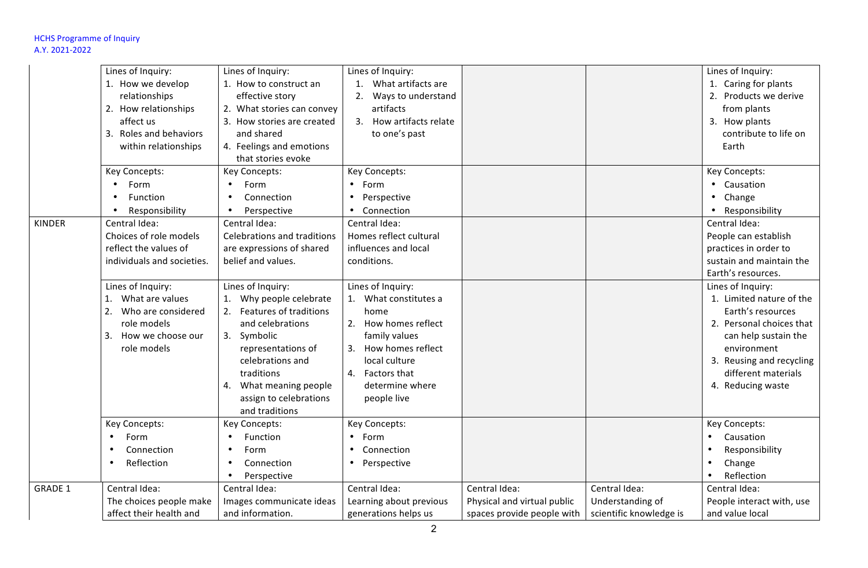|                | Lines of Inquiry:          | Lines of Inquiry:           | Lines of Inquiry:        |                             |                         | Lines of Inquiry:         |
|----------------|----------------------------|-----------------------------|--------------------------|-----------------------------|-------------------------|---------------------------|
|                | 1. How we develop          | 1. How to construct an      | What artifacts are       |                             |                         | 1. Caring for plants      |
|                | relationships              | effective story             | Ways to understand<br>2. |                             |                         | 2. Products we derive     |
|                |                            |                             | artifacts                |                             |                         |                           |
|                | 2. How relationships       | 2. What stories can convey  |                          |                             |                         | from plants               |
|                | affect us                  | 3. How stories are created  | 3. How artifacts relate  |                             |                         | 3. How plants             |
|                | 3. Roles and behaviors     | and shared                  | to one's past            |                             |                         | contribute to life on     |
|                | within relationships       | 4. Feelings and emotions    |                          |                             |                         | Earth                     |
|                |                            | that stories evoke          |                          |                             |                         |                           |
|                | Key Concepts:              | Key Concepts:               | Key Concepts:            |                             |                         | Key Concepts:             |
|                | Form                       | Form<br>$\bullet$           | $\bullet$<br>Form        |                             |                         | • Causation               |
|                | Function                   | Connection<br>$\bullet$     | Perspective              |                             |                         | Change<br>$\bullet$       |
|                | Responsibility             | Perspective                 | Connection               |                             |                         | Responsibility            |
| <b>KINDER</b>  | Central Idea:              | Central Idea:               | Central Idea:            |                             |                         | Central Idea:             |
|                | Choices of role models     | Celebrations and traditions | Homes reflect cultural   |                             |                         | People can establish      |
|                | reflect the values of      | are expressions of shared   | influences and local     |                             |                         | practices in order to     |
|                | individuals and societies. | belief and values.          | conditions.              |                             |                         | sustain and maintain the  |
|                |                            |                             |                          |                             |                         | Earth's resources.        |
|                | Lines of Inquiry:          | Lines of Inquiry:           | Lines of Inquiry:        |                             |                         | Lines of Inquiry:         |
|                | What are values<br>1.      | Why people celebrate        | 1. What constitutes a    |                             |                         | 1. Limited nature of the  |
|                | Who are considered<br>2.   | 2. Features of traditions   | home                     |                             |                         | Earth's resources         |
|                | role models                | and celebrations            | 2. How homes reflect     |                             |                         | 2. Personal choices that  |
|                |                            |                             |                          |                             |                         |                           |
|                | 3. How we choose our       | 3. Symbolic                 | family values            |                             |                         | can help sustain the      |
|                | role models                | representations of          | 3. How homes reflect     |                             |                         | environment               |
|                |                            | celebrations and            | local culture            |                             |                         | 3. Reusing and recycling  |
|                |                            | traditions                  | 4. Factors that          |                             |                         | different materials       |
|                |                            | What meaning people<br>4.   | determine where          |                             |                         | 4. Reducing waste         |
|                |                            | assign to celebrations      | people live              |                             |                         |                           |
|                |                            | and traditions              |                          |                             |                         |                           |
|                | Key Concepts:              | Key Concepts:               | Key Concepts:            |                             |                         | Key Concepts:             |
|                | Form                       | <b>Function</b>             | Form                     |                             |                         | Causation                 |
|                | Connection<br>$\bullet$    | Form<br>$\bullet$           | Connection               |                             |                         | Responsibility            |
|                | Reflection<br>$\bullet$    | Connection<br>$\bullet$     | Perspective              |                             |                         | Change                    |
|                |                            | Perspective                 |                          |                             |                         | Reflection                |
| <b>GRADE 1</b> | Central Idea:              | Central Idea:               | Central Idea:            | Central Idea:               | Central Idea:           | Central Idea:             |
|                | The choices people make    | Images communicate ideas    | Learning about previous  | Physical and virtual public | Understanding of        | People interact with, use |
|                | affect their health and    | and information.            | generations helps us     | spaces provide people with  | scientific knowledge is | and value local           |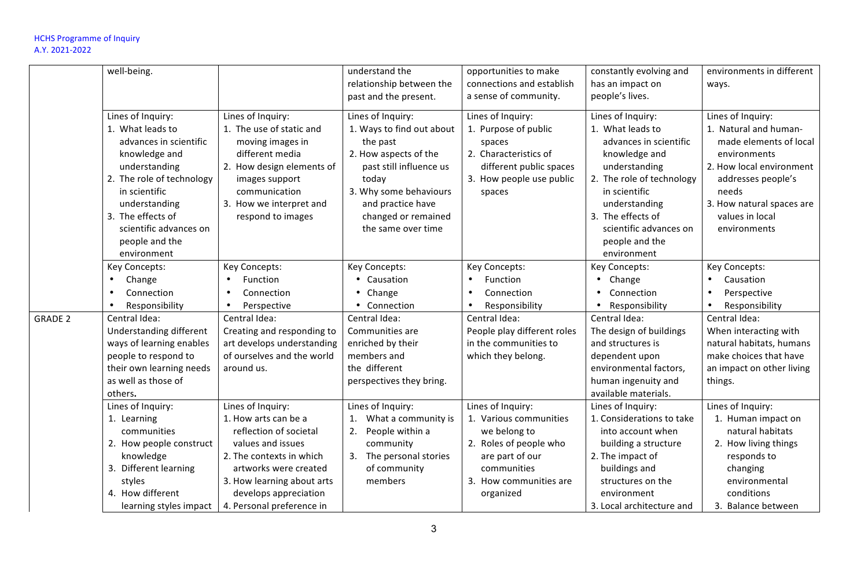|                | well-being.                                                                  |                                                                                         | understand the                                                                  | opportunities to make                                         | constantly evolving and                                                      | environments in different                                                            |
|----------------|------------------------------------------------------------------------------|-----------------------------------------------------------------------------------------|---------------------------------------------------------------------------------|---------------------------------------------------------------|------------------------------------------------------------------------------|--------------------------------------------------------------------------------------|
|                |                                                                              |                                                                                         | relationship between the<br>past and the present.                               | connections and establish<br>a sense of community.            | has an impact on<br>people's lives.                                          | ways.                                                                                |
|                | Lines of Inquiry:                                                            | Lines of Inquiry:                                                                       | Lines of Inquiry:                                                               | Lines of Inquiry:                                             | Lines of Inquiry:                                                            | Lines of Inquiry:                                                                    |
|                | 1. What leads to<br>advances in scientific<br>knowledge and                  | 1. The use of static and<br>moving images in<br>different media                         | 1. Ways to find out about<br>the past<br>2. How aspects of the                  | 1. Purpose of public<br>spaces<br>2. Characteristics of       | 1. What leads to<br>advances in scientific<br>knowledge and                  | 1. Natural and human-<br>made elements of local<br>environments                      |
|                | understanding<br>2. The role of technology<br>in scientific<br>understanding | 2. How design elements of<br>images support<br>communication<br>3. How we interpret and | past still influence us<br>today<br>3. Why some behaviours<br>and practice have | different public spaces<br>3. How people use public<br>spaces | understanding<br>2. The role of technology<br>in scientific<br>understanding | 2. How local environment<br>addresses people's<br>needs<br>3. How natural spaces are |
|                | 3. The effects of<br>scientific advances on<br>people and the<br>environment | respond to images                                                                       | changed or remained<br>the same over time                                       |                                                               | 3. The effects of<br>scientific advances on<br>people and the<br>environment | values in local<br>environments                                                      |
|                | Key Concepts:                                                                | Key Concepts:                                                                           | Key Concepts:                                                                   | Key Concepts:                                                 | Key Concepts:                                                                | Key Concepts:                                                                        |
|                | Change<br>$\bullet$                                                          | Function                                                                                | Causation                                                                       | Function                                                      | Change                                                                       | Causation                                                                            |
|                | Connection<br>$\bullet$                                                      | Connection<br>$\bullet$                                                                 | • Change                                                                        | Connection<br>$\bullet$                                       | Connection                                                                   | Perspective<br>$\bullet$                                                             |
|                | Responsibility<br>$\bullet$                                                  | Perspective<br>$\bullet$                                                                | • Connection                                                                    | Responsibility                                                | Responsibility                                                               | Responsibility                                                                       |
| <b>GRADE 2</b> | Central Idea:                                                                | Central Idea:                                                                           | Central Idea:                                                                   | Central Idea:                                                 | Central Idea:                                                                | Central Idea:                                                                        |
|                | Understanding different                                                      | Creating and responding to                                                              | Communities are                                                                 | People play different roles                                   | The design of buildings                                                      | When interacting with                                                                |
|                | ways of learning enables                                                     | art develops understanding                                                              | enriched by their                                                               | in the communities to                                         | and structures is                                                            | natural habitats, humans                                                             |
|                | people to respond to                                                         | of ourselves and the world                                                              | members and                                                                     | which they belong.                                            | dependent upon                                                               | make choices that have                                                               |
|                | their own learning needs                                                     | around us.                                                                              | the different                                                                   |                                                               | environmental factors,                                                       | an impact on other living                                                            |
|                | as well as those of                                                          |                                                                                         | perspectives they bring.                                                        |                                                               | human ingenuity and                                                          | things.                                                                              |
|                | others.                                                                      |                                                                                         |                                                                                 |                                                               | available materials.                                                         |                                                                                      |
|                | Lines of Inquiry:                                                            | Lines of Inquiry:                                                                       | Lines of Inquiry:                                                               | Lines of Inquiry:                                             | Lines of Inquiry:                                                            | Lines of Inquiry:                                                                    |
|                | 1. Learning<br>communities                                                   | 1. How arts can be a<br>reflection of societal                                          | What a community is<br>1.<br>2.<br>People within a                              | 1. Various communities<br>we belong to                        | 1. Considerations to take<br>into account when                               | 1. Human impact on<br>natural habitats                                               |
|                | 2. How people construct                                                      | values and issues                                                                       | community                                                                       | 2. Roles of people who                                        | building a structure                                                         | 2. How living things                                                                 |
|                | knowledge                                                                    | 2. The contexts in which                                                                | 3.<br>The personal stories                                                      | are part of our                                               | 2. The impact of                                                             | responds to                                                                          |
|                | 3. Different learning                                                        | artworks were created                                                                   | of community                                                                    | communities                                                   | buildings and                                                                | changing                                                                             |
|                | styles                                                                       | 3. How learning about arts                                                              | members                                                                         | 3. How communities are                                        | structures on the                                                            | environmental                                                                        |
|                | 4. How different                                                             | develops appreciation                                                                   |                                                                                 | organized                                                     | environment                                                                  | conditions                                                                           |
|                | learning styles impact                                                       | 4. Personal preference in                                                               |                                                                                 |                                                               | 3. Local architecture and                                                    | 3. Balance between                                                                   |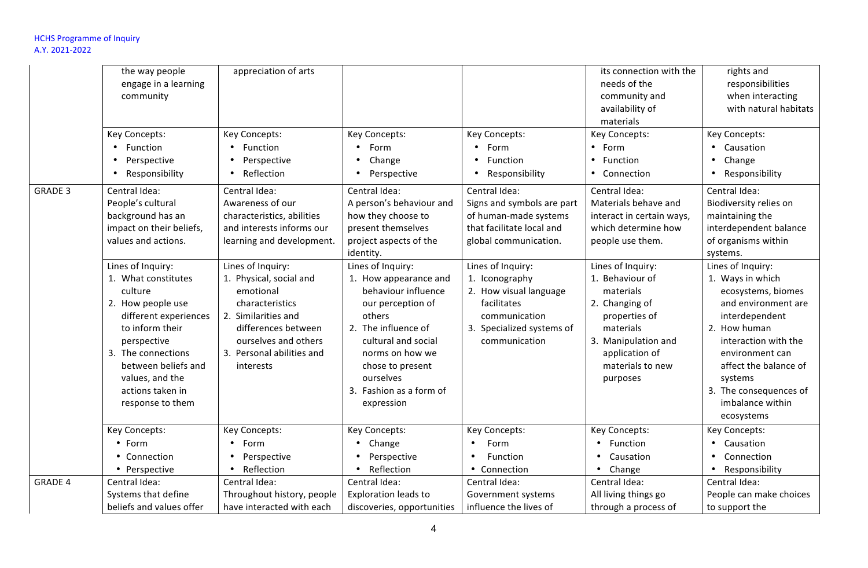|                | the way people<br>engage in a learning<br>community<br>Key Concepts:<br>Function<br>Perspective<br>Responsibility                                                                                                                           | appreciation of arts<br>Key Concepts:<br>Function<br>Perspective<br>Reflection                                                                                                               | Key Concepts:<br>Form<br>Change<br>Perspective                                                                                                                                                                                              | Key Concepts:<br>Form<br>Function<br>Responsibility<br>$\bullet$                                                                            | its connection with the<br>needs of the<br>community and<br>availability of<br>materials<br>Key Concepts:<br>• Form<br>Function<br>• Connection                            | rights and<br>responsibilities<br>when interacting<br>with natural habitats<br>Key Concepts:<br>• Causation<br>• Change<br>Responsibility<br>$\bullet$                                                                                                          |
|----------------|---------------------------------------------------------------------------------------------------------------------------------------------------------------------------------------------------------------------------------------------|----------------------------------------------------------------------------------------------------------------------------------------------------------------------------------------------|---------------------------------------------------------------------------------------------------------------------------------------------------------------------------------------------------------------------------------------------|---------------------------------------------------------------------------------------------------------------------------------------------|----------------------------------------------------------------------------------------------------------------------------------------------------------------------------|-----------------------------------------------------------------------------------------------------------------------------------------------------------------------------------------------------------------------------------------------------------------|
| <b>GRADE 3</b> | Central Idea:<br>People's cultural<br>background has an<br>impact on their beliefs,<br>values and actions.                                                                                                                                  | Central Idea:<br>Awareness of our<br>characteristics, abilities<br>and interests informs our<br>learning and development.                                                                    | Central Idea:<br>A person's behaviour and<br>how they choose to<br>present themselves<br>project aspects of the<br>identity.                                                                                                                | Central Idea:<br>Signs and symbols are part<br>of human-made systems<br>that facilitate local and<br>global communication.                  | Central Idea:<br>Materials behave and<br>interact in certain ways,<br>which determine how<br>people use them.                                                              | Central Idea:<br>Biodiversity relies on<br>maintaining the<br>interdependent balance<br>of organisms within<br>systems.                                                                                                                                         |
|                | Lines of Inquiry:<br>1. What constitutes<br>culture<br>2. How people use<br>different experiences<br>to inform their<br>perspective<br>3. The connections<br>between beliefs and<br>values, and the<br>actions taken in<br>response to them | Lines of Inquiry:<br>1. Physical, social and<br>emotional<br>characteristics<br>2. Similarities and<br>differences between<br>ourselves and others<br>3. Personal abilities and<br>interests | Lines of Inquiry:<br>1. How appearance and<br>behaviour influence<br>our perception of<br>others<br>2. The influence of<br>cultural and social<br>norms on how we<br>chose to present<br>ourselves<br>3. Fashion as a form of<br>expression | Lines of Inquiry:<br>1. Iconography<br>2. How visual language<br>facilitates<br>communication<br>3. Specialized systems of<br>communication | Lines of Inquiry:<br>1. Behaviour of<br>materials<br>2. Changing of<br>properties of<br>materials<br>3. Manipulation and<br>application of<br>materials to new<br>purposes | Lines of Inquiry:<br>1. Ways in which<br>ecosystems, biomes<br>and environment are<br>interdependent<br>2. How human<br>interaction with the<br>environment can<br>affect the balance of<br>systems<br>3. The consequences of<br>imbalance within<br>ecosystems |
|                | Key Concepts:<br>$•$ Form<br>• Connection<br>• Perspective                                                                                                                                                                                  | Key Concepts:<br>Form<br>$\bullet$<br>Perspective<br>Reflection<br>$\bullet$                                                                                                                 | Key Concepts:<br>• Change<br>Perspective<br>Reflection<br>$\bullet$                                                                                                                                                                         | Key Concepts:<br>Form<br>Function<br>• Connection                                                                                           | Key Concepts:<br>• Function<br>Causation<br>Change<br>$\bullet$                                                                                                            | Key Concepts:<br>• Causation<br>• Connection<br>• Responsibility                                                                                                                                                                                                |
| <b>GRADE 4</b> | Central Idea:<br>Systems that define<br>beliefs and values offer                                                                                                                                                                            | Central Idea:<br>Throughout history, people<br>have interacted with each                                                                                                                     | Central Idea:<br>Exploration leads to<br>discoveries, opportunities                                                                                                                                                                         | Central Idea:<br>Government systems<br>influence the lives of                                                                               | Central Idea:<br>All living things go<br>through a process of                                                                                                              | Central Idea:<br>People can make choices<br>to support the                                                                                                                                                                                                      |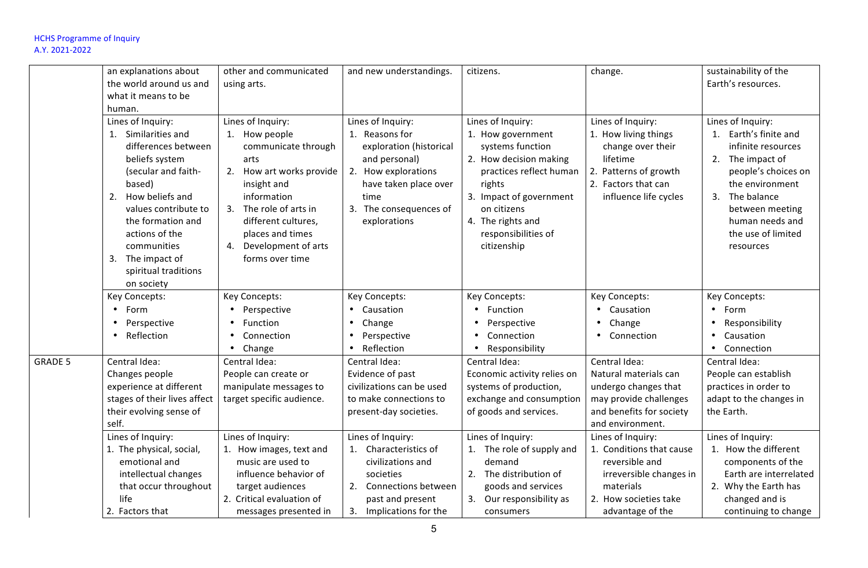|                | an explanations about                                                                                                                                                                                                                                                 | other and communicated                                                                                                                                                                                                                        | and new understandings.                                                                                                                                                           | citizens.                                                                                                                                                                                                                      | change.                                                                                                                                              | sustainability of the                                                                                                                                                                                                        |
|----------------|-----------------------------------------------------------------------------------------------------------------------------------------------------------------------------------------------------------------------------------------------------------------------|-----------------------------------------------------------------------------------------------------------------------------------------------------------------------------------------------------------------------------------------------|-----------------------------------------------------------------------------------------------------------------------------------------------------------------------------------|--------------------------------------------------------------------------------------------------------------------------------------------------------------------------------------------------------------------------------|------------------------------------------------------------------------------------------------------------------------------------------------------|------------------------------------------------------------------------------------------------------------------------------------------------------------------------------------------------------------------------------|
|                | the world around us and<br>what it means to be                                                                                                                                                                                                                        | using arts.                                                                                                                                                                                                                                   |                                                                                                                                                                                   |                                                                                                                                                                                                                                |                                                                                                                                                      | Earth's resources.                                                                                                                                                                                                           |
|                | human.                                                                                                                                                                                                                                                                |                                                                                                                                                                                                                                               |                                                                                                                                                                                   |                                                                                                                                                                                                                                |                                                                                                                                                      |                                                                                                                                                                                                                              |
|                | Lines of Inquiry:<br>1. Similarities and<br>differences between<br>beliefs system<br>(secular and faith-<br>based)<br>How beliefs and<br>2.<br>values contribute to<br>the formation and<br>actions of the<br>communities<br>3. The impact of<br>spiritual traditions | Lines of Inquiry:<br>1. How people<br>communicate through<br>arts<br>2. How art works provide<br>insight and<br>information<br>3. The role of arts in<br>different cultures,<br>places and times<br>4. Development of arts<br>forms over time | Lines of Inquiry:<br>1. Reasons for<br>exploration (historical<br>and personal)<br>2. How explorations<br>have taken place over<br>time<br>3. The consequences of<br>explorations | Lines of Inquiry:<br>1. How government<br>systems function<br>2. How decision making<br>practices reflect human<br>rights<br>3. Impact of government<br>on citizens<br>4. The rights and<br>responsibilities of<br>citizenship | Lines of Inquiry:<br>1. How living things<br>change over their<br>lifetime<br>2. Patterns of growth<br>2. Factors that can<br>influence life cycles  | Lines of Inquiry:<br>1. Earth's finite and<br>infinite resources<br>2. The impact of<br>people's choices on<br>the environment<br>The balance<br>3.<br>between meeting<br>human needs and<br>the use of limited<br>resources |
|                | on society<br>Key Concepts:<br>Form<br>$\bullet$<br>Perspective<br>Reflection                                                                                                                                                                                         | Key Concepts:<br>Perspective<br>Function<br>$\bullet$<br>Connection<br>Change                                                                                                                                                                 | Key Concepts:<br>$\bullet$<br>Causation<br>$\bullet$<br>Change<br>Perspective<br>Reflection                                                                                       | Key Concepts:<br>Function<br>Perspective<br>Connection<br>Responsibility                                                                                                                                                       | Key Concepts:<br>Causation<br>Change<br>Connection                                                                                                   | Key Concepts:<br>$\bullet$<br>Form<br>Responsibility<br>$\bullet$<br>Causation<br>$\bullet$<br>Connection                                                                                                                    |
| <b>GRADE 5</b> | Central Idea:<br>Changes people<br>experience at different<br>stages of their lives affect<br>their evolving sense of<br>self.                                                                                                                                        | Central Idea:<br>People can create or<br>manipulate messages to<br>target specific audience.                                                                                                                                                  | Central Idea:<br>Evidence of past<br>civilizations can be used<br>to make connections to<br>present-day societies.                                                                | Central Idea:<br>Economic activity relies on<br>systems of production,<br>exchange and consumption<br>of goods and services.                                                                                                   | Central Idea:<br>Natural materials can<br>undergo changes that<br>may provide challenges<br>and benefits for society<br>and environment.             | Central Idea:<br>People can establish<br>practices in order to<br>adapt to the changes in<br>the Earth.                                                                                                                      |
|                | Lines of Inquiry:<br>1. The physical, social,<br>emotional and<br>intellectual changes<br>that occur throughout<br>life<br>2. Factors that                                                                                                                            | Lines of Inquiry:<br>1. How images, text and<br>music are used to<br>influence behavior of<br>target audiences<br>2. Critical evaluation of<br>messages presented in                                                                          | Lines of Inquiry:<br>1. Characteristics of<br>civilizations and<br>societies<br>2. Connections between<br>past and present<br>3.<br>Implications for the                          | Lines of Inquiry:<br>1. The role of supply and<br>demand<br>2. The distribution of<br>goods and services<br>3. Our responsibility as<br>consumers                                                                              | Lines of Inquiry:<br>1. Conditions that cause<br>reversible and<br>irreversible changes in<br>materials<br>2. How societies take<br>advantage of the | Lines of Inquiry:<br>1. How the different<br>components of the<br>Earth are interrelated<br>2. Why the Earth has<br>changed and is<br>continuing to change                                                                   |